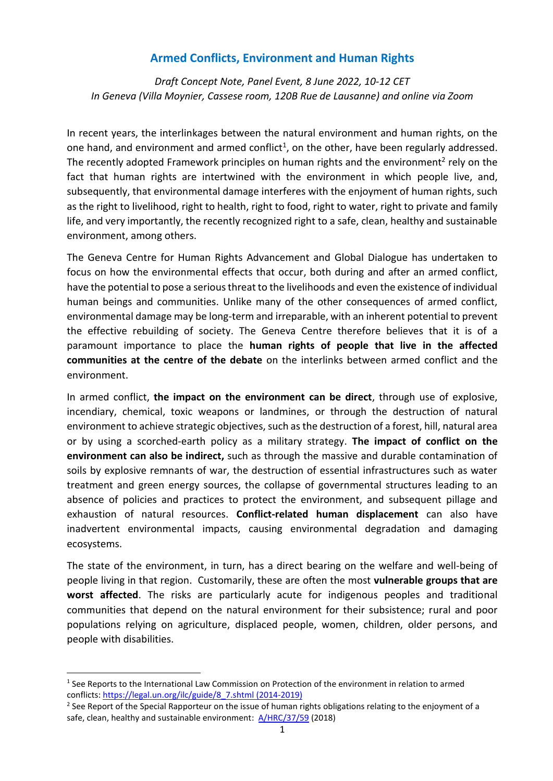## **Armed Conflicts, Environment and Human Rights**

*Draft Concept Note, Panel Event, 8 June 2022, 10-12 CET In Geneva (Villa Moynier, Cassese room, 120B Rue de Lausanne) and online via Zoom*

In recent years, the interlinkages between the natural environment and human rights, on the one hand, and environment and armed conflict<sup>1</sup>, on the other, have been regularly addressed. The recently adopted Framework principles on human rights and the environment<sup>2</sup> rely on the fact that human rights are intertwined with the environment in which people live, and, subsequently, that environmental damage interferes with the enjoyment of human rights, such as the right to livelihood, right to health, right to food, right to water, right to private and family life, and very importantly, the recently recognized right to a safe, clean, healthy and sustainable environment, among others.

The Geneva Centre for Human Rights Advancement and Global Dialogue has undertaken to focus on how the environmental effects that occur, both during and after an armed conflict, have the potential to pose a serious threat to the livelihoods and even the existence of individual human beings and communities. Unlike many of the other consequences of armed conflict, environmental damage may be long-term and irreparable, with an inherent potential to prevent the effective rebuilding of society. The Geneva Centre therefore believes that it is of a paramount importance to place the **human rights of people that live in the affected communities at the centre of the debate** on the interlinks between armed conflict and the environment.

In armed conflict, **the impact on the environment can be direct**, through use of explosive, incendiary, chemical, toxic weapons or landmines, or through the destruction of natural environment to achieve strategic objectives, such as the destruction of a forest, hill, natural area or by using a scorched-earth policy as a military strategy. **The impact of conflict on the environment can also be indirect,** such as through the massive and durable contamination of soils by explosive remnants of war, the destruction of essential infrastructures such as water treatment and green energy sources, the collapse of governmental structures leading to an absence of policies and practices to protect the environment, and subsequent pillage and exhaustion of natural resources. **Conflict-related human displacement** can also have inadvertent environmental impacts, causing environmental degradation and damaging ecosystems.

The state of the environment, in turn, has a direct bearing on the welfare and well-being of people living in that region. Customarily, these are often the most **vulnerable groups that are worst affected**. The risks are particularly acute for indigenous peoples and traditional communities that depend on the natural environment for their subsistence; rural and poor populations relying on agriculture, displaced people, women, children, older persons, and people with disabilities.

<sup>&</sup>lt;sup>1</sup> See Reports to the International Law Commission on Protection of the environment in relation to armed conflicts: [https://legal.un.org/ilc/guide/8\\_7.shtml](https://legal.un.org/ilc/guide/8_7.shtml) (2014-2019)

<sup>&</sup>lt;sup>2</sup> See Report of the Special Rapporteur on the issue of human rights obligations relating to the enjoyment of a safe, clean, healthy and sustainable environment: [A/HRC/37/59](https://documents-dds-ny.un.org/doc/UNDOC/GEN/G18/017/42/PDF/G1801742.pdf?OpenElement) (2018)